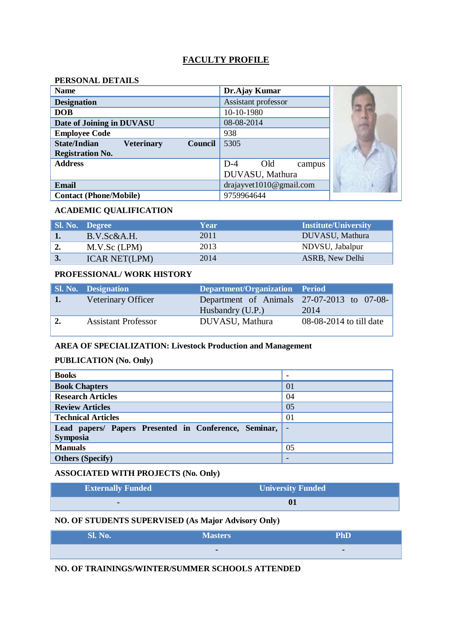# **FACULTY PROFILE**

### **PERSONAL DETAILS**

| <b>Name</b>                                                | Dr.Ajay Kumar            |  |
|------------------------------------------------------------|--------------------------|--|
| <b>Designation</b>                                         | Assistant professor      |  |
| <b>DOB</b>                                                 | 10-10-1980               |  |
| Date of Joining in DUVASU                                  | 08-08-2014               |  |
| <b>Employee Code</b>                                       | 938                      |  |
| <b>State/Indian</b><br><b>Veterinary</b><br><b>Council</b> | 5305                     |  |
| <b>Registration No.</b>                                    |                          |  |
| <b>Address</b>                                             | $D-4$<br>Old<br>campus   |  |
|                                                            | DUVASU, Mathura          |  |
| Email                                                      | drajayvet 1010@gmail.com |  |
| <b>Contact (Phone/Mobile)</b>                              | 9759964644               |  |

### **ACADEMIC QUALIFICATION**

|    | <b>Sl. No. Degree</b> | Year | <b>Institute/University</b> |
|----|-----------------------|------|-----------------------------|
|    | B.V.Sc&A.H.           | 2011 | DUVASU, Mathura             |
|    | M.V.Sc (LPM)          | 2013 | NDVSU, Jabalpur             |
| J. | <b>ICAR NET(LPM)</b>  | 2014 | ASRB, New Delhi             |

#### **PROFESSIONAL/ WORK HISTORY**

|    | <b>Sl. No. Designation</b> | Department/Organization Period             |                         |
|----|----------------------------|--------------------------------------------|-------------------------|
| 1. | Veterinary Officer         | Department of Animals 27-07-2013 to 07-08- |                         |
|    |                            | Husbandry (U.P.)                           | 2014                    |
|    | <b>Assistant Professor</b> | DUVASU, Mathura                            | 08-08-2014 to till date |

### **AREA OF SPECIALIZATION: Livestock Production and Management**

#### **PUBLICATION (No. Only)**

| <b>Books</b>                                                             |                          |
|--------------------------------------------------------------------------|--------------------------|
| <b>Book Chapters</b>                                                     | 01                       |
| <b>Research Articles</b>                                                 | 04                       |
| <b>Review Articles</b>                                                   | 05                       |
| <b>Technical Articles</b>                                                | 01                       |
| Lead papers/ Papers Presented in Conference, Seminar,<br><b>Symposia</b> | $\overline{\phantom{0}}$ |
| <b>Manuals</b>                                                           | 05                       |
| <b>Others (Specify)</b>                                                  | -                        |

### **ASSOCIATED WITH PROJECTS (No. Only)**

| <b>Externally Funded</b> | <b>University Funded</b> |
|--------------------------|--------------------------|
| -                        | 01                       |

# **NO. OF STUDENTS SUPERVISED (As Major Advisory Only)**

| <b>Sl. No.</b> | <b>Masters</b> | <b>PhD</b> |
|----------------|----------------|------------|
|                |                | ۰          |

# **NO. OF TRAININGS/WINTER/SUMMER SCHOOLS ATTENDED**